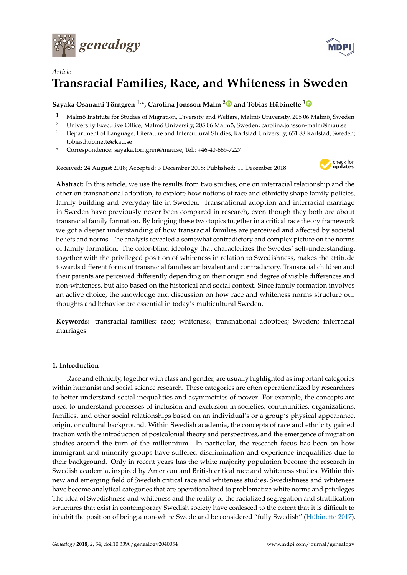



# *Article* **Transracial Families, Race, and Whiteness in Sweden**

## **Sayaka Osanami Törngren 1,\*, Carolina Jonsson Malm [2](https://orcid.org/0000-0003-3803-070X) and Tobias Hübinette [3](https://orcid.org/0000-0001-6775-6476)**

- <sup>1</sup> Malmö Institute for Studies of Migration, Diversity and Welfare, Malmö University, 205 06 Malmö, Sweden<br><sup>2</sup> University Executive Office Malmö University, 205 06 Malmö, Syeden; carolina ionseen malm@may se
- <sup>2</sup> University Executive Office, Malmö University, 205 06 Malmö, Sweden; carolina.jonsson-malm@mau.se<br><sup>3</sup> Department of Language Literature and Intercultural Studies, Karlstad University 651,88 Karlstad, Swed
- <sup>3</sup> Department of Language, Literature and Intercultural Studies, Karlstad University, 651 88 Karlstad, Sweden; tobias.hubinette@kau.se
- **\*** Correspondence: sayaka.torngren@mau.se; Tel.: +46-40-665-7227

Received: 24 August 2018; Accepted: 3 December 2018; Published: 11 December 2018



**Abstract:** In this article, we use the results from two studies, one on interracial relationship and the other on transnational adoption, to explore how notions of race and ethnicity shape family policies, family building and everyday life in Sweden. Transnational adoption and interracial marriage in Sweden have previously never been compared in research, even though they both are about transracial family formation. By bringing these two topics together in a critical race theory framework we got a deeper understanding of how transracial families are perceived and affected by societal beliefs and norms. The analysis revealed a somewhat contradictory and complex picture on the norms of family formation. The color-blind ideology that characterizes the Swedes' self-understanding, together with the privileged position of whiteness in relation to Swedishness, makes the attitude towards different forms of transracial families ambivalent and contradictory. Transracial children and their parents are perceived differently depending on their origin and degree of visible differences and non-whiteness, but also based on the historical and social context. Since family formation involves an active choice, the knowledge and discussion on how race and whiteness norms structure our thoughts and behavior are essential in today's multicultural Sweden.

**Keywords:** transracial families; race; whiteness; transnational adoptees; Sweden; interracial marriages

## **1. Introduction**

Race and ethnicity, together with class and gender, are usually highlighted as important categories within humanist and social science research. These categories are often operationalized by researchers to better understand social inequalities and asymmetries of power. For example, the concepts are used to understand processes of inclusion and exclusion in societies, communities, organizations, families, and other social relationships based on an individual's or a group's physical appearance, origin, or cultural background. Within Swedish academia, the concepts of race and ethnicity gained traction with the introduction of postcolonial theory and perspectives, and the emergence of migration studies around the turn of the millennium. In particular, the research focus has been on how immigrant and minority groups have suffered discrimination and experience inequalities due to their background. Only in recent years has the white majority population become the research in Swedish academia, inspired by American and British critical race and whiteness studies. Within this new and emerging field of Swedish critical race and whiteness studies, Swedishness and whiteness have become analytical categories that are operationalized to problematize white norms and privileges. The idea of Swedishness and whiteness and the reality of the racialized segregation and stratification structures that exist in contemporary Swedish society have coalesced to the extent that it is difficult to inhabit the position of being a non-white Swede and be considered "fully Swedish" [\(Hübinette](#page-14-0) [2017\)](#page-14-0).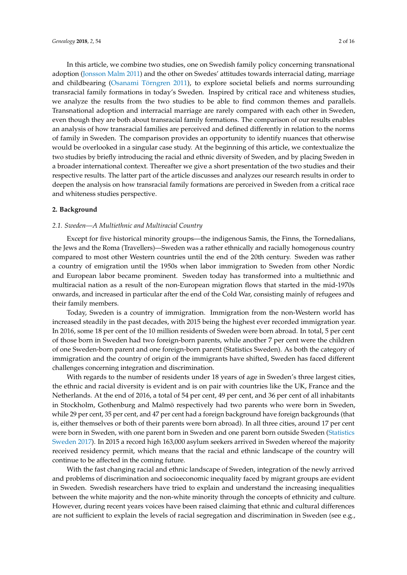In this article, we combine two studies, one on Swedish family policy concerning transnational adoption [\(Jonsson Malm](#page-14-1) [2011\)](#page-14-1) and the other on Swedes' attitudes towards interracial dating, marriage and childbearing [\(Osanami Törngren](#page-14-2) [2011\)](#page-14-2), to explore societal beliefs and norms surrounding transracial family formations in today's Sweden. Inspired by critical race and whiteness studies, we analyze the results from the two studies to be able to find common themes and parallels. Transnational adoption and interracial marriage are rarely compared with each other in Sweden, even though they are both about transracial family formations. The comparison of our results enables an analysis of how transracial families are perceived and defined differently in relation to the norms of family in Sweden. The comparison provides an opportunity to identify nuances that otherwise would be overlooked in a singular case study. At the beginning of this article, we contextualize the two studies by briefly introducing the racial and ethnic diversity of Sweden, and by placing Sweden in a broader international context. Thereafter we give a short presentation of the two studies and their respective results. The latter part of the article discusses and analyzes our research results in order to deepen the analysis on how transracial family formations are perceived in Sweden from a critical race and whiteness studies perspective.

#### **2. Background**

#### *2.1. Sweden—A Multiethnic and Multiracial Country*

Except for five historical minority groups—the indigenous Samis, the Finns, the Tornedalians, the Jews and the Roma (Travellers)—Sweden was a rather ethnically and racially homogenous country compared to most other Western countries until the end of the 20th century. Sweden was rather a country of emigration until the 1950s when labor immigration to Sweden from other Nordic and European labor became prominent. Sweden today has transformed into a multiethnic and multiracial nation as a result of the non-European migration flows that started in the mid-1970s onwards, and increased in particular after the end of the Cold War, consisting mainly of refugees and their family members.

Today, Sweden is a country of immigration. Immigration from the non-Western world has increased steadily in the past decades, with 2015 being the highest ever recorded immigration year. In 2016, some 18 per cent of the 10 million residents of Sweden were born abroad. In total, 5 per cent of those born in Sweden had two foreign-born parents, while another 7 per cent were the children of one Sweden-born parent and one foreign-born parent (Statistics Sweden). As both the category of immigration and the country of origin of the immigrants have shifted, Sweden has faced different challenges concerning integration and discrimination.

With regards to the number of residents under 18 years of age in Sweden's three largest cities, the ethnic and racial diversity is evident and is on pair with countries like the UK, France and the Netherlands. At the end of 2016, a total of 54 per cent, 49 per cent, and 36 per cent of all inhabitants in Stockholm, Gothenburg and Malmö respectively had two parents who were born in Sweden, while 29 per cent, 35 per cent, and 47 per cent had a foreign background have foreign backgrounds (that is, either themselves or both of their parents were born abroad). In all three cities, around 17 per cent were born in Sweden, with one parent born in Sweden and one parent born outside Sweden [\(Statistics](#page-15-0) [Sweden](#page-15-0) [2017\)](#page-15-0). In 2015 a record high 163,000 asylum seekers arrived in Sweden whereof the majority received residency permit, which means that the racial and ethnic landscape of the country will continue to be affected in the coming future.

With the fast changing racial and ethnic landscape of Sweden, integration of the newly arrived and problems of discrimination and socioeconomic inequality faced by migrant groups are evident in Sweden. Swedish researchers have tried to explain and understand the increasing inequalities between the white majority and the non-white minority through the concepts of ethnicity and culture. However, during recent years voices have been raised claiming that ethnic and cultural differences are not sufficient to explain the levels of racial segregation and discrimination in Sweden (see e.g.,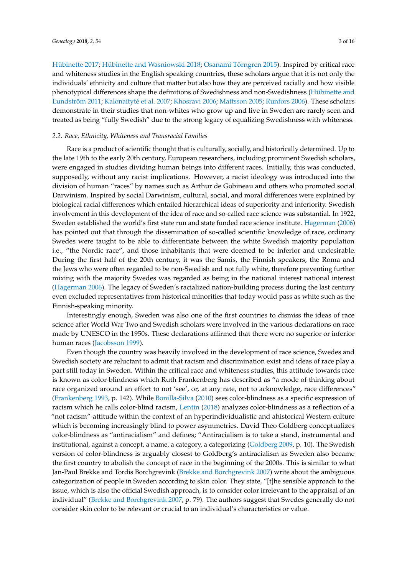[Hübinette](#page-14-0) [2017;](#page-14-0) [Hübinette and Wasniowski](#page-14-3) [2018;](#page-14-3) [Osanami Törngren](#page-14-4) [2015\)](#page-14-4). Inspired by critical race and whiteness studies in the English speaking countries, these scholars argue that it is not only the individuals' ethnicity and culture that matter but also how they are perceived racially and how visible phenotypical differences shape the definitions of Swedishness and non-Swedishness [\(Hübinette and](#page-14-5) [Lundström](#page-14-5) [2011;](#page-14-5) [Kalonaityt](#page-14-6)é et al. [2007;](#page-14-6) [Khosravi](#page-14-7) [2006;](#page-14-7) [Mattsson](#page-14-8) [2005;](#page-14-8) [Runfors](#page-15-1) [2006\)](#page-15-1). These scholars demonstrate in their studies that non-whites who grow up and live in Sweden are rarely seen and treated as being "fully Swedish" due to the strong legacy of equalizing Swedishness with whiteness.

## *2.2. Race, Ethnicity, Whiteness and Transracial Families*

Race is a product of scientific thought that is culturally, socially, and historically determined. Up to the late 19th to the early 20th century, European researchers, including prominent Swedish scholars, were engaged in studies dividing human beings into different races. Initially, this was conducted, supposedly, without any racist implications. However, a racist ideology was introduced into the division of human "races" by names such as Arthur de Gobineau and others who promoted social Darwinism. Inspired by social Darwinism, cultural, social, and moral differences were explained by biological racial differences which entailed hierarchical ideas of superiority and inferiority. Swedish involvement in this development of the idea of race and so-called race science was substantial. In 1922, Sweden established the world's first state run and state funded race science institute. [Hagerman](#page-14-9) [\(2006\)](#page-14-9) has pointed out that through the dissemination of so-called scientific knowledge of race, ordinary Swedes were taught to be able to differentiate between the white Swedish majority population i.e., "the Nordic race", and those inhabitants that were deemed to be inferior and undesirable. During the first half of the 20th century, it was the Samis, the Finnish speakers, the Roma and the Jews who were often regarded to be non-Swedish and not fully white, therefore preventing further mixing with the majority Swedes was regarded as being in the national interest national interest [\(Hagerman](#page-14-9) [2006\)](#page-14-9). The legacy of Sweden's racialized nation-building process during the last century even excluded representatives from historical minorities that today would pass as white such as the Finnish-speaking minority.

Interestingly enough, Sweden was also one of the first countries to dismiss the ideas of race science after World War Two and Swedish scholars were involved in the various declarations on race made by UNESCO in the 1950s. These declarations affirmed that there were no superior or inferior human races [\(Jacobsson](#page-14-10) [1999\)](#page-14-10).

Even though the country was heavily involved in the development of race science, Swedes and Swedish society are reluctant to admit that racism and discrimination exist and ideas of race play a part still today in Sweden. Within the critical race and whiteness studies, this attitude towards race is known as color-blindness which Ruth Frankenberg has described as "a mode of thinking about race organized around an effort to not 'see', or, at any rate, not to acknowledge, race differences" [\(Frankenberg](#page-14-11) [1993,](#page-14-11) p. 142). While [Bonilla-Silva](#page-13-0) [\(2010\)](#page-13-0) sees color-blindness as a specific expression of racism which he calls color-blind racism, [Lentin](#page-14-12) [\(2018\)](#page-14-12) analyzes color-blindness as a reflection of a "not racism"-attitude within the context of an hyperindividualistic and ahistorical Western culture which is becoming increasingly blind to power asymmetries. David Theo Goldberg conceptualizes color-blindness as "antiracialism" and defines; "Antiracialism is to take a stand, instrumental and institutional, against a concept, a name, a category, a categorizing [\(Goldberg](#page-14-13) [2009,](#page-14-13) p. 10). The Swedish version of color-blindness is arguably closest to Goldberg's antiracialism as Sweden also became the first country to abolish the concept of race in the beginning of the 2000s. This is similar to what Jan-Paul Brekke and Tordis Borchgrevink [\(Brekke and Borchgrevink](#page-14-14) [2007\)](#page-14-14) write about the ambiguous categorization of people in Sweden according to skin color. They state, "[t]he sensible approach to the issue, which is also the official Swedish approach, is to consider color irrelevant to the appraisal of an individual" [\(Brekke and Borchgrevink](#page-14-14) [2007,](#page-14-14) p. 79). The authors suggest that Swedes generally do not consider skin color to be relevant or crucial to an individual's characteristics or value.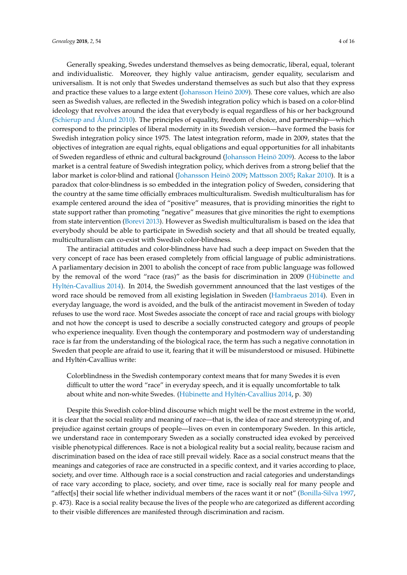Generally speaking, Swedes understand themselves as being democratic, liberal, equal, tolerant and individualistic. Moreover, they highly value antiracism, gender equality, secularism and universalism. It is not only that Swedes understand themselves as such but also that they express and practice these values to a large extent [\(Johansson Heinö](#page-14-15) [2009\)](#page-14-15). These core values, which are also seen as Swedish values, are reflected in the Swedish integration policy which is based on a color-blind ideology that revolves around the idea that everybody is equal regardless of his or her background [\(Schierup and Ålund](#page-15-2) [2010\)](#page-15-2). The principles of equality, freedom of choice, and partnership—which correspond to the principles of liberal modernity in its Swedish version—have formed the basis for Swedish integration policy since 1975. The latest integration reform, made in 2009, states that the objectives of integration are equal rights, equal obligations and equal opportunities for all inhabitants of Sweden regardless of ethnic and cultural background [\(Johansson Heinö](#page-14-15) [2009\)](#page-14-15). Access to the labor market is a central feature of Swedish integration policy, which derives from a strong belief that the labor market is color-blind and rational [\(Johansson Heinö](#page-14-15) [2009;](#page-14-15) [Mattsson](#page-14-8) [2005;](#page-14-8) [Rakar](#page-15-3) [2010\)](#page-15-3). It is a paradox that color-blindness is so embedded in the integration policy of Sweden, considering that the country at the same time officially embraces multiculturalism. Swedish multiculturalism has for example centered around the idea of "positive" measures, that is providing minorities the right to state support rather than promoting "negative" measures that give minorities the right to exemptions from state intervention [\(Borevi](#page-13-1) [2013\)](#page-13-1). However as Swedish multiculturalism is based on the idea that everybody should be able to participate in Swedish society and that all should be treated equally, multiculturalism can co-exist with Swedish color-blindness.

The antiracial attitudes and color-blindness have had such a deep impact on Sweden that the very concept of race has been erased completely from official language of public administrations. A parliamentary decision in 2001 to abolish the concept of race from public language was followed by the removal of the word "race (ras)" as the basis for discrimination in 2009 [\(Hübinette and](#page-14-16) Hylté[n-Cavallius](#page-14-16) [2014\)](#page-14-16). In 2014, the Swedish government announced that the last vestiges of the word race should be removed from all existing legislation in Sweden [\(Hambraeus](#page-14-17) [2014\)](#page-14-17). Even in everyday language, the word is avoided, and the bulk of the antiracist movement in Sweden of today refuses to use the word race. Most Swedes associate the concept of race and racial groups with biology and not how the concept is used to describe a socially constructed category and groups of people who experience inequality. Even though the contemporary and postmodern way of understanding race is far from the understanding of the biological race, the term has such a negative connotation in Sweden that people are afraid to use it, fearing that it will be misunderstood or misused. Hübinette and Hyltén-Cavallius write:

Colorblindness in the Swedish contemporary context means that for many Swedes it is even difficult to utter the word "race" in everyday speech, and it is equally uncomfortable to talk about white and non-white Swedes. [\(Hübinette and Hylt](#page-14-16)én-Cavallius [2014,](#page-14-16) p. 30)

Despite this Swedish color-blind discourse which might well be the most extreme in the world, it is clear that the social reality and meaning of race—that is, the idea of race and stereotyping of, and prejudice against certain groups of people—lives on even in contemporary Sweden. In this article, we understand race in contemporary Sweden as a socially constructed idea evoked by perceived visible phenotypical differences. Race is not a biological reality but a social reality, because racism and discrimination based on the idea of race still prevail widely. Race as a social construct means that the meanings and categories of race are constructed in a specific context, and it varies according to place, society, and over time. Although race is a social construction and racial categories and understandings of race vary according to place, society, and over time, race is socially real for many people and "affect[s] their social life whether individual members of the races want it or not" [\(Bonilla-Silva](#page-13-2) [1997,](#page-13-2) p. 473). Race is a social reality because the lives of the people who are categorized as different according to their visible differences are manifested through discrimination and racism.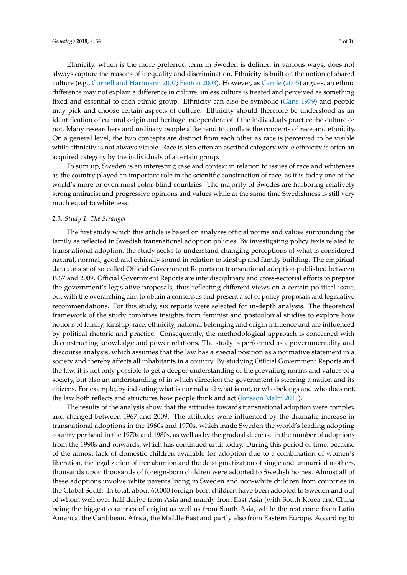Ethnicity, which is the more preferred term in Sweden is defined in various ways, does not always capture the reasons of inequality and discrimination. Ethnicity is built on the notion of shared culture (e.g., [Cornell and Hartmann](#page-14-18) [2007;](#page-14-18) [Fenton](#page-14-19) [2003\)](#page-14-19). However, as [Cantle](#page-14-20) [\(2005\)](#page-14-20) argues, an ethnic difference may not explain a difference in culture, unless culture is treated and perceived as something fixed and essential to each ethnic group. Ethnicity can also be symbolic [\(Gans](#page-14-21) [1979\)](#page-14-21) and people may pick and choose certain aspects of culture. Ethnicity should therefore be understood as an identification of cultural origin and heritage independent of if the individuals practice the culture or not. Many researchers and ordinary people alike tend to conflate the concepts of race and ethnicity. On a general level, the two concepts are distinct from each other as race is perceived to be visible while ethnicity is not always visible. Race is also often an ascribed category while ethnicity is often an acquired category by the individuals of a certain group.

To sum up, Sweden is an interesting case and context in relation to issues of race and whiteness as the country played an important role in the scientific construction of race, as it is today one of the world's more or even most color-blind countries. The majority of Swedes are harboring relatively strong antiracist and progressive opinions and values while at the same time Swedishness is still very much equal to whiteness.

#### *2.3. Study 1: The Stranger*

The first study which this article is based on analyzes official norms and values surrounding the family as reflected in Swedish transnational adoption policies. By investigating policy texts related to transnational adoption, the study seeks to understand changing perceptions of what is considered natural, normal, good and ethically sound in relation to kinship and family building. The empirical data consist of so-called Official Government Reports on transnational adoption published between 1967 and 2009. Official Government Reports are interdisciplinary and cross-sectorial efforts to prepare the government's legislative proposals, thus reflecting different views on a certain political issue, but with the overarching aim to obtain a consensus and present a set of policy proposals and legislative recommendations. For this study, six reports were selected for in-depth analysis. The theoretical framework of the study combines insights from feminist and postcolonial studies to explore how notions of family, kinship, race, ethnicity, national belonging and origin influence and are influenced by political rhetoric and practice. Consequently, the methodological approach is concerned with deconstructing knowledge and power relations. The study is performed as a governmentality and discourse analysis, which assumes that the law has a special position as a normative statement in a society and thereby affects all inhabitants in a country. By studying Official Government Reports and the law, it is not only possible to get a deeper understanding of the prevailing norms and values of a society, but also an understanding of in which direction the government is steering a nation and its citizens. For example, by indicating what is normal and what is not, or who belongs and who does not, the law both reflects and structures how people think and act [\(Jonsson Malm](#page-14-1) [2011\)](#page-14-1).

The results of the analysis show that the attitudes towards transnational adoption were complex and changed between 1967 and 2009. The attitudes were influenced by the dramatic increase in transnational adoptions in the 1960s and 1970s, which made Sweden the world's leading adopting country per head in the 1970s and 1980s, as well as by the gradual decrease in the number of adoptions from the 1990s and onwards, which has continued until today. During this period of time, because of the almost lack of domestic children available for adoption due to a combination of women's liberation, the legalization of free abortion and the de-stigmatization of single and unmarried mothers, thousands upon thousands of foreign-born children were adopted to Swedish homes. Almost all of these adoptions involve white parents living in Sweden and non-white children from countries in the Global South. In total, about 60,000 foreign-born children have been adopted to Sweden and out of whom well over half derive from Asia and mainly from East Asia (with South Korea and China being the biggest countries of origin) as well as from South Asia, while the rest come from Latin America, the Caribbean, Africa, the Middle East and partly also from Eastern Europe. According to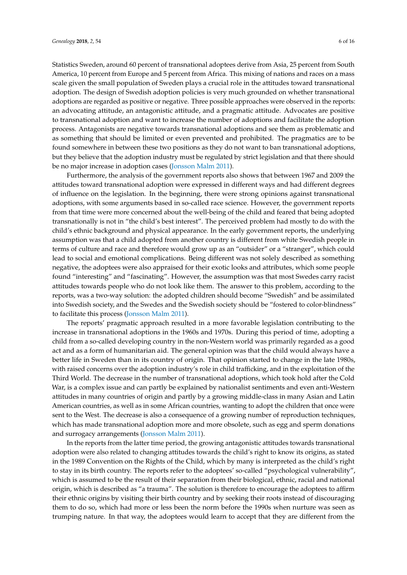Statistics Sweden, around 60 percent of transnational adoptees derive from Asia, 25 percent from South America, 10 percent from Europe and 5 percent from Africa. This mixing of nations and races on a mass scale given the small population of Sweden plays a crucial role in the attitudes toward transnational adoption. The design of Swedish adoption policies is very much grounded on whether transnational adoptions are regarded as positive or negative. Three possible approaches were observed in the reports: an advocating attitude, an antagonistic attitude, and a pragmatic attitude. Advocates are positive to transnational adoption and want to increase the number of adoptions and facilitate the adoption process. Antagonists are negative towards transnational adoptions and see them as problematic and as something that should be limited or even prevented and prohibited. The pragmatics are to be found somewhere in between these two positions as they do not want to ban transnational adoptions, but they believe that the adoption industry must be regulated by strict legislation and that there should be no major increase in adoption cases [\(Jonsson Malm](#page-14-1) [2011\)](#page-14-1).

Furthermore, the analysis of the government reports also shows that between 1967 and 2009 the attitudes toward transnational adoption were expressed in different ways and had different degrees of influence on the legislation. In the beginning, there were strong opinions against transnational adoptions, with some arguments based in so-called race science. However, the government reports from that time were more concerned about the well-being of the child and feared that being adopted transnationally is not in "the child's best interest". The perceived problem had mostly to do with the child's ethnic background and physical appearance. In the early government reports, the underlying assumption was that a child adopted from another country is different from white Swedish people in terms of culture and race and therefore would grow up as an "outsider" or a "stranger", which could lead to social and emotional complications. Being different was not solely described as something negative, the adoptees were also appraised for their exotic looks and attributes, which some people found "interesting" and "fascinating". However, the assumption was that most Swedes carry racist attitudes towards people who do not look like them. The answer to this problem, according to the reports, was a two-way solution: the adopted children should become "Swedish" and be assimilated into Swedish society, and the Swedes and the Swedish society should be "fostered to color-blindness" to facilitate this process [\(Jonsson Malm](#page-14-1) [2011\)](#page-14-1).

The reports' pragmatic approach resulted in a more favorable legislation contributing to the increase in transnational adoptions in the 1960s and 1970s. During this period of time, adopting a child from a so-called developing country in the non-Western world was primarily regarded as a good act and as a form of humanitarian aid. The general opinion was that the child would always have a better life in Sweden than in its country of origin. That opinion started to change in the late 1980s, with raised concerns over the adoption industry's role in child trafficking, and in the exploitation of the Third World. The decrease in the number of transnational adoptions, which took hold after the Cold War, is a complex issue and can partly be explained by nationalist sentiments and even anti-Western attitudes in many countries of origin and partly by a growing middle-class in many Asian and Latin American countries, as well as in some African countries, wanting to adopt the children that once were sent to the West. The decrease is also a consequence of a growing number of reproduction techniques, which has made transnational adoption more and more obsolete, such as egg and sperm donations and surrogacy arrangements [\(Jonsson Malm](#page-14-1) [2011\)](#page-14-1).

In the reports from the latter time period, the growing antagonistic attitudes towards transnational adoption were also related to changing attitudes towards the child's right to know its origins, as stated in the 1989 Convention on the Rights of the Child, which by many is interpreted as the child's right to stay in its birth country. The reports refer to the adoptees' so-called "psychological vulnerability", which is assumed to be the result of their separation from their biological, ethnic, racial and national origin, which is described as "a trauma". The solution is therefore to encourage the adoptees to affirm their ethnic origins by visiting their birth country and by seeking their roots instead of discouraging them to do so, which had more or less been the norm before the 1990s when nurture was seen as trumping nature. In that way, the adoptees would learn to accept that they are different from the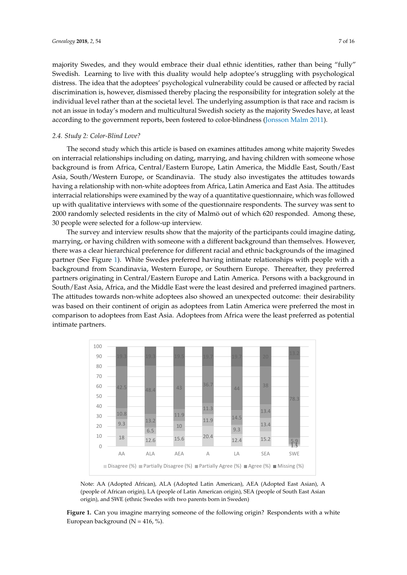majority Swedes, and they would embrace their dual ethnic identities, rather than being "fully" Swedish. Learning to live with this duality would help adoptee's struggling with psychological distress. The idea that the adoptees' psychological vulnerability could be caused or affected by racial discrimination is, however, dismissed thereby placing the responsibility for integration solely at the individual level rather than at the societal level. The underlying assumption is that race and racism is not an issue in today's modern and multicultural Swedish society as the majority Swedes have, at least according to the government reports, been fostered to color-blindness [\(Jonsson Malm](#page-14-1) [2011\)](#page-14-1).

#### *2.4. Study 2: Color-Blind Love?* **General Community 2018**

The second study which this article is based on examines attitudes among white majority Swedes on interracial relationships including on dating, marrying, and having children with someone whose background is from Africa, Central/Eastern Europe, Latin America, the Middle East, South/East Asia, South/Western Europe, or Scandinavia. The study also investigates the attitudes towards having a relationship with non-white adoptees from Africa, Latin America and East Asia. The attitudes interracial relationships were examined by the way of a quantitative questionnaire, which was followed up with qualitative interviews with some of the questionnaire respondents. The survey was sent to 1<br>2000 randomly selected residents in the city of Malmö out of which 620 responded. Among these, 30 people were selected for a follow-up interview. which was followed up with the qualitative interviews with some of the some of the qualitative response of the

The survey and interview results show that the majority of the participants could imagine dating, marrying, or having children with someone with a different background than themselves. However, there was a clear hierarchical preference for different racial and ethnic backgrounds of the imagined partner (See Figure 1). White Swedes preferred having intimate relationships with people with a background from Scandinavia, Western Europe, or Southern Europe. Thereafter, they preferred partners originating in Central/Eastern Europe and Latin America. Persons with a background in South/East Asia, Africa, and the Middle East were the least desired and preferred imagined partners. The attitudes towards non-white adoptees also showed an unexpected outcome: their desirability was based on their continent of origin as adoptees from Latin America were preferred the most in comparison to adoptees from East Asia. Adoptees from Africa were the least preferred as potential intimate partners. The survey and milerview results show that the majority of t preferred the most in comparison to adopte the most in comparison to adopte the least  $\mathbf f$  concerns the  $\mathbf f$ 

<span id="page-6-0"></span>

Note: AA (Adopted African), ALA (Adopted Latin American), AEA (Adopted East Asian), A (people of African origin), LA (people of Latin American origin), SEA (people of South East Asian origin), and SWE (ethnic Swedes with two parents born in Sweden)

**Figure 1.** Can you imagine marrying someone of the following origin? Respondents with a white **Figure 1.** Can you imagine marrying someone of the following origin? Respondents with a white European background  $(N = 416, %)$ .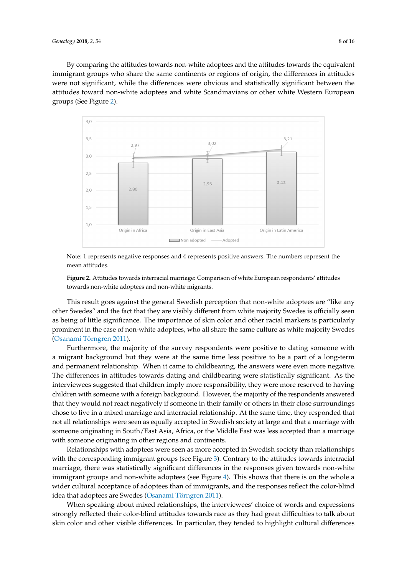By comparing the attitudes towards non-white adoptees and the attitudes towards the equivalent immigrant groups who share the same continents or regions of origin, the differences in attitudes were not significant, while the differences were obvious and statistically significant between the attitudes toward non-white adoptees and white Scandinavians or other white Western European groups (See Figure [2\)](#page-7-0). *George (Sec 1 gate 2)*.

<span id="page-7-0"></span>

Note: 1 represents negative responses and 4 represents positive answers. The numbers represent the mean attitudes.

**Figure 2.** Attitudes towards interracial marriage: Comparison of white European respondents' towards non-white adoptees and non-white migrants. **Figure 2.** Attitudes towards interracial marriage: Comparison of white European respondents' attitudes

other Swedes" and the fact that they are visibly different from white majority Swedes is officially seen as being of little significance. The importance of skin color and other racial markers is particularly prominent in the case of non-white adoptees, who all share the same culture as white majority Swedes particularly prominent in the case of non-white adoptees, who all share the same culture as white [\(Osanami Törngren](#page-14-2) [2011\)](#page-14-2). This result goes against the general Swedish perception that non-white adoptees are "like any

Furthermore, the majority of the survey respondents were positive to dating someone with a migrant background but they were at the same time less positive to be a part of a long-term and permanent relationship. When it came to childbearing, the answers were even more negative. The differences in attitudes towards dating and childbearing were statistically significant. As the interviewees suggested that children imply more responsibility, they were more reserved to having children with someone with a foreign background. However, the majority of the respondents answered that they would not react negatively if someone in their family or others in their close surroundings chose to live in a mixed marriage and interracial relationship. At the same time, they responded that not all relationships were seen as equally accepted in Swedish society at large and that a marriage with someone originating in South/East Asia, Africa, or the Middle East was less accepted than a marriage with someone originating in other regions and continents.

Relationships with adoptees were seen as more accepted in Swedish society than relationships with the corresponding immigrant groups (see Figure [3\)](#page-8-0). Contrary to the attitudes towards interracial marriage, there was statistically significant differences in the responses given towards non-white immigrant groups and non-white adoptees (see Figure [4\)](#page-8-1). This shows that there is on the whole a wider cultural acceptance of adoptees than of immigrants, and the responses reflect the color-blind idea that adoptees are Swedes [\(Osanami Törngren](#page-14-2) [2011\)](#page-14-2).

When speaking about mixed relationships, the interviewees' choice of words and expressions strongly reflected their color-blind attitudes towards race as they had great difficulties to talk about skin color and other visible differences. In particular, they tended to highlight cultural differences skin color and other visible differences. In particular, they tended to highlight cultural differences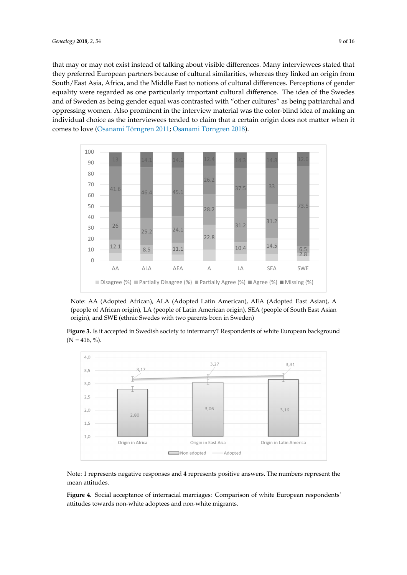that may or may not exist instead of talking about visible differences. Many interviewees stated that they preferred European partners because of cultural similarities, whereas they linked an origin from South/East Asia, Africa, and the Middle East to notions of cultural differences. Perceptions of gender equality were regarded as one particularly important cultural difference. The idea of the Swedes and of Sweden as being gender equal was contrasted with "other cultures" as being patriarchal and oppressing women. Also prominent in the interview material was the color-blind idea of making an individual choice as the interviewees tended to claim that a certain origin does not matter when it individual choice as the interviewees tended to claim that a certain origin does not matter when it comes to love (Osanami Törngren 2011; Osanami Törngren 2018). comes to love (Osanami Törngren 2011; Osanami Törngren 2018). [to a](#page-15-4) origin comes to love [\(Osanami Törngren 2011](#page-14-2); [Osanami Törngren 2018](#page-15-4)).

<span id="page-8-0"></span>

Note: AA (Adopted African), ALA (Adopted Latin American), AEA (Adopted East Asian), A Note: AA (Adopted African), ALA (Adopted Latin American), AEA (Adopted East Asian), A<br>(people of African origin), LA (people of Latin American origin), SEA (people of South East Asian origin), and SWE (ethnic Swedes with two parents born in Sweden)

**Figure 3.** Is it accepted in Swedish society to intermarry? Respondents of white European background  $(N = 416, %)$ 

<span id="page-8-1"></span>

Note: 1 represents negative responses and 4 represents positive answers. The numbers represent the Note: 1 represents negative responses and 4 represents positive answers. The numbers represent the mean attitudes.mean attitudes.

**Figure 4.** Social acceptance of interracial marriages: Comparison of white European respondents'<br>attitudes towards non-white adoptees and non-white migrants. attitudes towards non-white adoptees and non-white migrants. attitudes towards non-white adoptees and non-white migrants.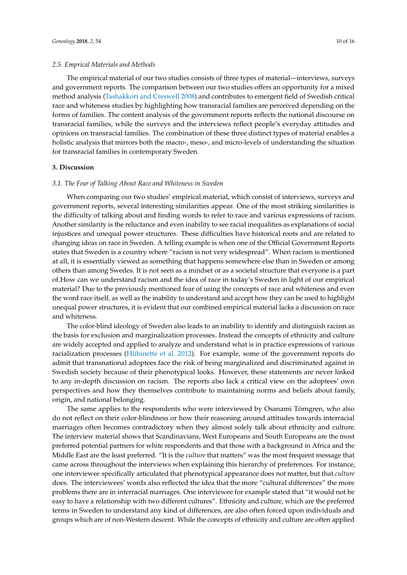#### *2.5. Emprical Materials and Methods*

The empirical material of our two studies consists of three types of material—interviews, surveys and government reports. The comparison between our two studies offers an opportunity for a mixed method analysis [\(Tashakkori and Creswell](#page-15-5) [2008\)](#page-15-5) and contributes to emergent field of Swedish critical race and whiteness studies by highlighting how transracial families are perceived depending on the forms of families. The content analysis of the government reports reflects the national discourse on transracial families, while the surveys and the interviews reflect people's everyday attitudes and opinions on transracial families. The combination of these three distinct types of material enables a holistic analysis that mirrors both the macro-, meso-, and micro-levels of understanding the situation for transracial families in contemporary Sweden.

#### **3. Discussion**

#### *3.1. The Fear of Talking About Race and Whiteness in Sweden*

When comparing our two studies' empirical material, which consist of interviews, surveys and government reports, several interesting similarities appear. One of the most striking similarities is the difficulty of talking about and finding words to refer to race and various expressions of racism. Another similarity is the reluctance and even inability to see racial inequalities as explanations of social injustices and unequal power structures. These difficulties have historical roots and are related to changing ideas on race in Sweden. A telling example is when one of the Official Government Reports states that Sweden is a country where "racism is not very widespread". When racism is mentioned at all, it is essentially viewed as something that happens somewhere else than in Sweden or among others than among Swedes. It is not seen as a mindset or as a societal structure that everyone is a part of.How can we understand racism and the idea of race in today's Sweden in light of our empirical material? Due to the previously mentioned fear of using the concepts of race and whiteness and even the word race itself, as well as the inability to understand and accept how they can be used to highlight unequal power structures, it is evident that our combined empirical material lacks a discussion on race and whiteness.

The color-blind ideology of Sweden also leads to an inability to identify and distinguish racism as the basis for exclusion and marginalization processes. Instead the concepts of ethnicity and culture are widely accepted and applied to analyze and understand what is in practice expressions of various racialization processes [\(Hübinette et al.](#page-14-22) [2012\)](#page-14-22). For example, some of the government reports do admit that transnational adoptees face the risk of being marginalized and discriminated against in Swedish society because of their phenotypical looks. However, these statements are never linked to any in-depth discussion on racism. The reports also lack a critical view on the adoptees' own perspectives and how they themselves contribute to maintaining norms and beliefs about family, origin, and national belonging.

The same applies to the respondents who were interviewed by Osanami Törngren, who also do not reflect on their color-blindness or how their reasoning around attitudes towards interracial marriages often becomes contradictory when they almost solely talk about ethnicity and culture. The interview material shows that Scandinavians, West Europeans and South Europeans are the most preferred potential partners for white respondents and that those with a background in Africa and the Middle East are the least preferred. "It is the *culture* that matters" was the most frequent message that came across throughout the interviews when explaining this hierarchy of preferences. For instance, one interviewee specifically articulated that phenotypical appearance does not matter, but that *culture* does. The interviewees' words also reflected the idea that the more "cultural differences" the more problems there are in interracial marriages. One interviewee for example stated that "it would not be easy to have a relationship with two different cultures". Ethnicity and culture, which are the preferred terms in Sweden to understand any kind of differences, are also often forced upon individuals and groups which are of non-Western descent. While the concepts of ethnicity and culture are often applied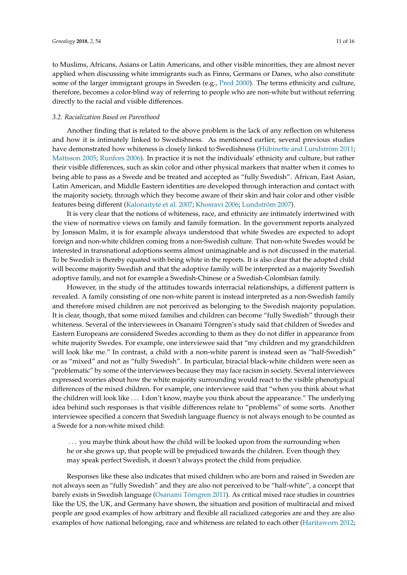to Muslims, Africans, Asians or Latin Americans, and other visible minorities, they are almost never applied when discussing white immigrants such as Finns, Germans or Danes, who also constitute some of the larger immigrant groups in Sweden (e.g., [Pred](#page-15-6) [2000\)](#page-15-6). The terms ethnicity and culture, therefore, becomes a color-blind way of referring to people who are non-white but without referring directly to the racial and visible differences.

#### *3.2. Racialization Based on Parenthood*

Another finding that is related to the above problem is the lack of any reflection on whiteness and how it is intimately linked to Swedishness. As mentioned earlier, several previous studies have demonstrated how whiteness is closely linked to Swedishness [\(Hübinette and Lundström](#page-14-5) [2011;](#page-14-5) [Mattsson](#page-14-8) [2005;](#page-14-8) [Runfors](#page-15-1) [2006\)](#page-15-1). In practice it is not the individuals' ethnicity and culture, but rather their visible differences, such as skin color and other physical markers that matter when it comes to being able to pass as a Swede and be treated and accepted as "fully Swedish". African, East Asian, Latin American, and Middle Eastern identities are developed through interaction and contact with the majority society, through which they become aware of their skin and hair color and other visible features being different [\(Kalonaityt](#page-14-6)é et al. [2007;](#page-14-6) [Khosravi](#page-14-7) [2006;](#page-14-7) [Lundström](#page-14-23) [2007\)](#page-14-23).

It is very clear that the notions of whiteness, race, and ethnicity are intimately intertwined with the view of normative views on family and family formation. In the government reports analyzed by Jonsson Malm, it is for example always understood that white Swedes are expected to adopt foreign and non-white children coming from a non-Swedish culture. That non-white Swedes would be interested in transnational adoptions seems almost unimaginable and is not discussed in the material. To be Swedish is thereby equated with being white in the reports. It is also clear that the adopted child will become majority Swedish and that the adoptive family will be interpreted as a majority Swedish adoptive family, and not for example a Swedish-Chinese or a Swedish-Colombian family.

However, in the study of the attitudes towards interracial relationships, a different pattern is revealed. A family consisting of one non-white parent is instead interpreted as a non-Swedish family and therefore mixed children are not perceived as belonging to the Swedish majority population. It is clear, though, that some mixed families and children can become "fully Swedish" through their whiteness. Several of the interviewees in Osanami Törngren's study said that children of Swedes and Eastern Europeans are considered Swedes according to them as they do not differ in appearance from white majority Swedes. For example, one interviewee said that "my children and my grandchildren will look like me." In contrast, a child with a non-white parent is instead seen as "half-Swedish" or as "mixed" and not as "fully Swedish". In particular, biracial black-white children were seen as "problematic" by some of the interviewees because they may face racism in society. Several interviewees expressed worries about how the white majority surrounding would react to the visible phenotypical differences of the mixed children. For example, one interviewee said that "when you think about what the children will look like . . . I don't know, maybe you think about the appearance." The underlying idea behind such responses is that visible differences relate to "problems" of some sorts. Another interviewee specified a concern that Swedish language fluency is not always enough to be counted as a Swede for a non-white mixed child:

. . . you maybe think about how the child will be looked upon from the surrounding when he or she grows up, that people will be prejudiced towards the children. Even though they may speak perfect Swedish, it doesn't always protect the child from prejudice.

Responses like these also indicates that mixed children who are born and raised in Sweden are not always seen as "fully Swedish" and they are also not perceived to be "half-white", a concept that barely exists in Swedish language [\(Osanami Törngren](#page-14-2) [2011\)](#page-14-2). As critical mixed race studies in countries like the US, the UK, and Germany have shown, the situation and position of multiracial and mixed people are good examples of how arbitrary and flexible all racialized categories are and they are also examples of how national belonging, race and whiteness are related to each other [\(Haritaworn](#page-14-24) [2012;](#page-14-24)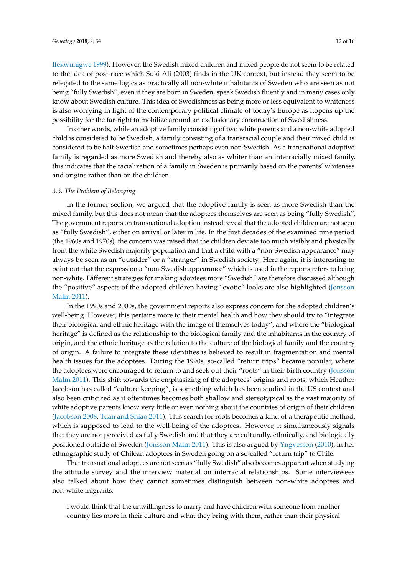[Ifekwunigwe](#page-14-25) [1999\)](#page-14-25). However, the Swedish mixed children and mixed people do not seem to be related to the idea of post-race which Suki Ali (2003) finds in the UK context, but instead they seem to be relegated to the same logics as practically all non-white inhabitants of Sweden who are seen as not being "fully Swedish", even if they are born in Sweden, speak Swedish fluently and in many cases only know about Swedish culture. This idea of Swedishness as being more or less equivalent to whiteness is also worrying in light of the contemporary political climate of today's Europe as itopens up the possibility for the far-right to mobilize around an exclusionary construction of Swedishness.

In other words, while an adoptive family consisting of two white parents and a non-white adopted child is considered to be Swedish, a family consisting of a transracial couple and their mixed child is considered to be half-Swedish and sometimes perhaps even non-Swedish. As a transnational adoptive family is regarded as more Swedish and thereby also as whiter than an interracially mixed family, this indicates that the racialization of a family in Sweden is primarily based on the parents' whiteness and origins rather than on the children.

#### *3.3. The Problem of Belonging*

In the former section, we argued that the adoptive family is seen as more Swedish than the mixed family, but this does not mean that the adoptees themselves are seen as being "fully Swedish". The government reports on transnational adoption instead reveal that the adopted children are not seen as "fully Swedish", either on arrival or later in life. In the first decades of the examined time period (the 1960s and 1970s), the concern was raised that the children deviate too much visibly and physically from the white Swedish majority population and that a child with a "non-Swedish appearance" may always be seen as an "outsider" or a "stranger" in Swedish society. Here again, it is interesting to point out that the expression a "non-Swedish appearance" which is used in the reports refers to being non-white. Different strategies for making adoptees more "Swedish" are therefore discussed although the "positive" aspects of the adopted children having "exotic" looks are also highlighted [\(Jonsson](#page-14-1) [Malm](#page-14-1) [2011\)](#page-14-1).

In the 1990s and 2000s, the government reports also express concern for the adopted children's well-being. However, this pertains more to their mental health and how they should try to "integrate their biological and ethnic heritage with the image of themselves today", and where the "biological heritage" is defined as the relationship to the biological family and the inhabitants in the country of origin, and the ethnic heritage as the relation to the culture of the biological family and the country of origin. A failure to integrate these identities is believed to result in fragmentation and mental health issues for the adoptees. During the 1990s, so-called "return trips" became popular, where the adoptees were encouraged to return to and seek out their "roots" in their birth country [\(Jonsson](#page-14-1) [Malm](#page-14-1) [2011\)](#page-14-1). This shift towards the emphasizing of the adoptees' origins and roots, which Heather Jacobson has called "culture keeping", is something which has been studied in the US context and also been criticized as it oftentimes becomes both shallow and stereotypical as the vast majority of white adoptive parents know very little or even nothing about the countries of origin of their children [\(Jacobson](#page-14-26) [2008;](#page-14-26) [Tuan and Shiao](#page-15-7) [2011\)](#page-15-7). This search for roots becomes a kind of a therapeutic method, which is supposed to lead to the well-being of the adoptees. However, it simultaneously signals that they are not perceived as fully Swedish and that they are culturally, ethnically, and biologically positioned outside of Sweden [\(Jonsson Malm](#page-14-1) [2011\)](#page-14-1). This is also argued by [Yngvesson](#page-15-8) [\(2010\)](#page-15-8), in her ethnographic study of Chilean adoptees in Sweden going on a so-called "return trip" to Chile.

That transnational adoptees are not seen as "fully Swedish" also becomes apparent when studying the attitude survey and the interview material on interracial relationships. Some interviewees also talked about how they cannot sometimes distinguish between non-white adoptees and non-white migrants:

I would think that the unwillingness to marry and have children with someone from another country lies more in their culture and what they bring with them, rather than their physical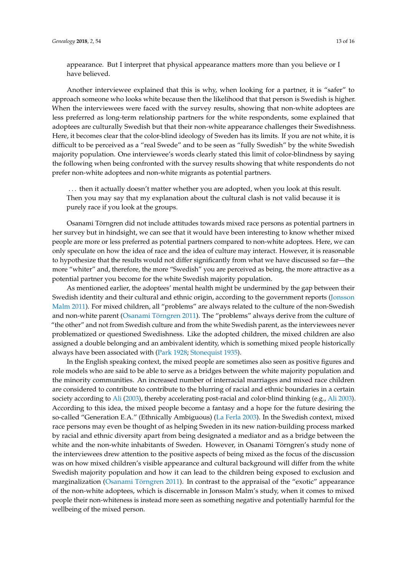appearance. But I interpret that physical appearance matters more than you believe or I have believed.

Another interviewee explained that this is why, when looking for a partner, it is "safer" to approach someone who looks white because then the likelihood that that person is Swedish is higher. When the interviewees were faced with the survey results, showing that non-white adoptees are less preferred as long-term relationship partners for the white respondents, some explained that adoptees are culturally Swedish but that their non-white appearance challenges their Swedishness. Here, it becomes clear that the color-blind ideology of Sweden has its limits. If you are not white, it is difficult to be perceived as a "real Swede" and to be seen as "fully Swedish" by the white Swedish majority population. One interviewee's words clearly stated this limit of color-blindness by saying the following when being confronted with the survey results showing that white respondents do not prefer non-white adoptees and non-white migrants as potential partners.

... then it actually doesn't matter whether you are adopted, when you look at this result. Then you may say that my explanation about the cultural clash is not valid because it is purely race if you look at the groups.

Osanami Törngren did not include attitudes towards mixed race persons as potential partners in her survey but in hindsight, we can see that it would have been interesting to know whether mixed people are more or less preferred as potential partners compared to non-white adoptees. Here, we can only speculate on how the idea of race and the idea of culture may interact. However, it is reasonable to hypothesize that the results would not differ significantly from what we have discussed so far—the more "whiter" and, therefore, the more "Swedish" you are perceived as being, the more attractive as a potential partner you become for the white Swedish majority population.

As mentioned earlier, the adoptees' mental health might be undermined by the gap between their Swedish identity and their cultural and ethnic origin, according to the government reports [\(Jonsson](#page-14-1) [Malm](#page-14-1) [2011\)](#page-14-1). For mixed children, all "problems" are always related to the culture of the non-Swedish and non-white parent [\(Osanami Törngren](#page-14-2) [2011\)](#page-14-2). The "problems" always derive from the culture of "the other" and not from Swedish culture and from the white Swedish parent, as the interviewees never problematized or questioned Swedishness. Like the adopted children, the mixed children are also assigned a double belonging and an ambivalent identity, which is something mixed people historically always have been associated with [\(Park](#page-15-9) [1928;](#page-15-9) [Stonequist](#page-15-10) [1935\)](#page-15-10).

In the English speaking context, the mixed people are sometimes also seen as positive figures and role models who are said to be able to serve as a bridges between the white majority population and the minority communities. An increased number of interracial marriages and mixed race children are considered to contribute to contribute to the blurring of racial and ethnic boundaries in a certain society according to [Ali](#page-13-3) [\(2003\)](#page-13-3), thereby accelerating post-racial and color-blind thinking (e.g., [Ali](#page-13-3) [2003\)](#page-13-3). According to this idea, the mixed people become a fantasy and a hope for the future desiring the so-called "Generation E.A." (Ethnically Ambiguous) [\(La Ferla](#page-14-27) [2003\)](#page-14-27). In the Swedish context, mixed race persons may even be thought of as helping Sweden in its new nation-building process marked by racial and ethnic diversity apart from being designated a mediator and as a bridge between the white and the non-white inhabitants of Sweden. However, in Osanami Törngren's study none of the interviewees drew attention to the positive aspects of being mixed as the focus of the discussion was on how mixed children's visible appearance and cultural background will differ from the white Swedish majority population and how it can lead to the children being exposed to exclusion and marginalization [\(Osanami Törngren](#page-14-2) [2011\)](#page-14-2). In contrast to the appraisal of the "exotic" appearance of the non-white adoptees, which is discernable in Jonsson Malm's study, when it comes to mixed people their non-whiteness is instead more seen as something negative and potentially harmful for the wellbeing of the mixed person.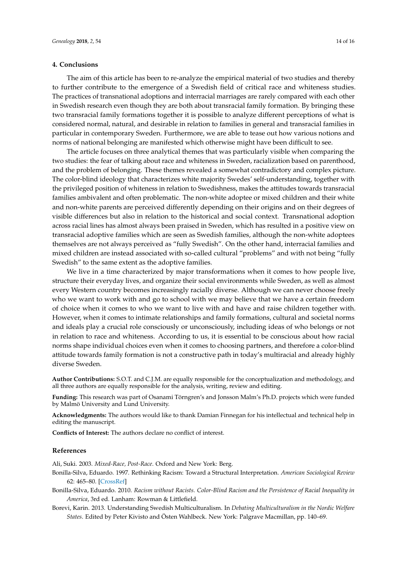### **4. Conclusions**

The aim of this article has been to re-analyze the empirical material of two studies and thereby to further contribute to the emergence of a Swedish field of critical race and whiteness studies. The practices of transnational adoptions and interracial marriages are rarely compared with each other in Swedish research even though they are both about transracial family formation. By bringing these two transracial family formations together it is possible to analyze different perceptions of what is considered normal, natural, and desirable in relation to families in general and transracial families in particular in contemporary Sweden. Furthermore, we are able to tease out how various notions and norms of national belonging are manifested which otherwise might have been difficult to see.

The article focuses on three analytical themes that was particularly visible when comparing the two studies: the fear of talking about race and whiteness in Sweden, racialization based on parenthood, and the problem of belonging. These themes revealed a somewhat contradictory and complex picture. The color-blind ideology that characterizes white majority Swedes' self-understanding, together with the privileged position of whiteness in relation to Swedishness, makes the attitudes towards transracial families ambivalent and often problematic. The non-white adoptee or mixed children and their white and non-white parents are perceived differently depending on their origins and on their degrees of visible differences but also in relation to the historical and social context. Transnational adoption across racial lines has almost always been praised in Sweden, which has resulted in a positive view on transracial adoptive families which are seen as Swedish families, although the non-white adoptees themselves are not always perceived as "fully Swedish". On the other hand, interracial families and mixed children are instead associated with so-called cultural "problems" and with not being "fully Swedish" to the same extent as the adoptive families.

We live in a time characterized by major transformations when it comes to how people live, structure their everyday lives, and organize their social environments while Sweden, as well as almost every Western country becomes increasingly racially diverse. Although we can never choose freely who we want to work with and go to school with we may believe that we have a certain freedom of choice when it comes to who we want to live with and have and raise children together with. However, when it comes to intimate relationships and family formations, cultural and societal norms and ideals play a crucial role consciously or unconsciously, including ideas of who belongs or not in relation to race and whiteness. According to us, it is essential to be conscious about how racial norms shape individual choices even when it comes to choosing partners, and therefore a color-blind attitude towards family formation is not a constructive path in today's multiracial and already highly diverse Sweden.

**Author Contributions:** S.O.T. and C.J.M. are equally responsible for the conceptualization and methodology, and all three authors are equally responsible for the analysis, writing, review and editing.

**Funding:** This research was part of Osanami Törngren's and Jonsson Malm's Ph.D. projects which were funded by Malmö University and Lund University.

**Acknowledgments:** The authors would like to thank Damian Finnegan for his intellectual and technical help in editing the manuscript.

**Conflicts of Interest:** The authors declare no conflict of interest.

#### **References**

<span id="page-13-3"></span><span id="page-13-2"></span>Ali, Suki. 2003. *Mixed-Race, Post-Race*. Oxford and New York: Berg.

- Bonilla-Silva, Eduardo. 1997. Rethinking Racism: Toward a Structural Interpretation. *American Sociological Review* 62: 465–80. [\[CrossRef\]](http://dx.doi.org/10.2307/2657316)
- <span id="page-13-0"></span>Bonilla-Silva, Eduardo. 2010. *Racism without Racists. Color-Blind Racism and the Persistence of Racial Inequality in America*, 3rd ed. Lanham: Rowman & Littlefield.
- <span id="page-13-1"></span>Borevi, Karin. 2013. Understanding Swedish Multiculturalism. In *Debating Multiculturalism in the Nordic Welfare States*. Edited by Peter Kivisto and Östen Wahlbeck. New York: Palgrave Macmillan, pp. 140–69.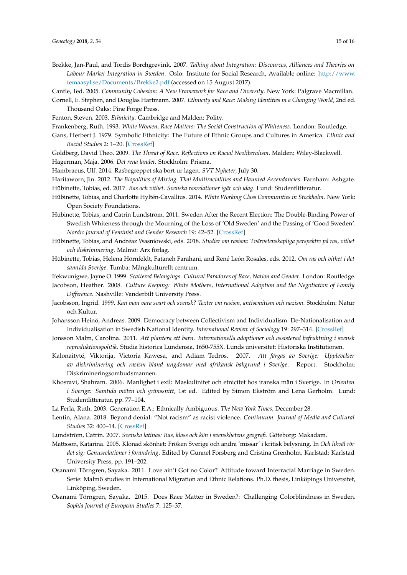- <span id="page-14-14"></span>Brekke, Jan-Paul, and Tordis Borchgrevink. 2007. *Talking about Integration: Discources, Alliances and Theories on Labour Market Integration in Sweden*. Oslo: Institute for Social Research, Available online: [http://www.](http://www.temaasyl.se/Documents/Brekke2.pdf) [temaasyl.se/Documents/Brekke2.pdf](http://www.temaasyl.se/Documents/Brekke2.pdf) (accessed on 15 August 2017).
- <span id="page-14-20"></span>Cantle, Ted. 2005. *Community Cohesion: A New Framework for Race and Diversity*. New York: Palgrave Macmillan.
- <span id="page-14-18"></span>Cornell, E. Stephen, and Douglas Hartmann. 2007. *Ethnicity and Race: Making Identities in a Changing World*, 2nd ed. Thousand Oaks: Pine Forge Press.
- <span id="page-14-19"></span>Fenton, Steven. 2003. *Ethnicity*. Cambridge and Malden: Polity.
- <span id="page-14-11"></span>Frankenberg, Ruth. 1993. *White Women, Race Matters: The Social Construction of Whiteness*. London: Routledge.
- <span id="page-14-21"></span>Gans, Herbert J. 1979. Symbolic Ethnicity: The Future of Ethnic Groups and Cultures in America. *Ethnic and Racial Studies* 2: 1–20. [\[CrossRef\]](http://dx.doi.org/10.1080/01419870.1979.9993248)
- <span id="page-14-13"></span>Goldberg, David Theo. 2009. *The Threat of Race. Reflections on Racial Neoliberalism*. Malden: Wiley-Blackwell.
- <span id="page-14-9"></span>Hagerman, Maja. 2006. *Det rena landet*. Stockholm: Prisma.
- <span id="page-14-17"></span>Hambraeus, Ulf. 2014. Rasbegreppet ska bort ur lagen. *SVT Nyheter*, July 30.
- <span id="page-14-24"></span><span id="page-14-0"></span>Haritaworn, Jin. 2012. *The Biopolitics of Mixing. Thai Multiracialities and Haunted Ascendancies*. Farnham: Ashgate. Hübinette, Tobias, ed. 2017. *Ras och vithet. Svenska rasrelationer igår och idag*. Lund: Studentlitteratur.
- <span id="page-14-16"></span>Hübinette, Tobias, and Charlotte Hyltén-Cavallius. 2014. *White Working Class Communities in Stockholm*. New York: Open Society Foundations.
- <span id="page-14-5"></span>Hübinette, Tobias, and Catrin Lundström. 2011. Sweden After the Recent Election: The Double-Binding Power of Swedish Whiteness through the Mourning of the Loss of 'Old Sweden' and the Passing of 'Good Sweden'. *Nordic Journal of Feminist and Gender Research* 19: 42–52. [\[CrossRef\]](http://dx.doi.org/10.1080/08038740.2010.547835)
- <span id="page-14-3"></span>Hübinette, Tobias, and Andréaz Wasniowski, eds. 2018. *Studier om rasism: Tvärvetenskapliga perspektiv på ras, vithet och diskriminering*. Malmö: Arx förlag.
- <span id="page-14-22"></span>Hübinette, Tobias, Helena Hörnfeldt, Fataneh Farahani, and René León Rosales, eds. 2012. *Om ras och vithet i det samtida Sverige*. Tumba: Mångkulturellt centrum.
- <span id="page-14-25"></span>Ifekwunigwe, Jayne O. 1999. *Scattered Belongings. Cultural Paradoxes of Race, Nation and Gender*. London: Routledge.
- <span id="page-14-26"></span>Jacobson, Heather. 2008. *Culture Keeping: White Mothers, International Adoption and the Negotiation of Family Difference*. Nashville: Vanderbilt University Press.
- <span id="page-14-10"></span>Jacobsson, Ingrid. 1999. *Kan man vara svart och svensk? Texter om rasism, antisemitism och nazism*. Stockholm: Natur och Kultur.
- <span id="page-14-15"></span>Johansson Heinö, Andreas. 2009. Democracy between Collectivism and Individualism: De-Nationalisation and Individualisation in Swedish National Identity. *International Review of Sociology* 19: 297–314. [\[CrossRef\]](http://dx.doi.org/10.1080/03906700902833619)
- <span id="page-14-1"></span>Jonsson Malm, Carolina. 2011. *Att plantera ett barn. Internationella adoptioner och assisterad befruktning i svensk reproduktionspolitik*. Studia historica Lundensia, 1650-755X. Lunds universitet: Historiska Institutionen.
- <span id="page-14-6"></span>Kalonaityté, Viktorija, Victoria Kawesa, and Adiam Tedros. 2007. *Att färgas av Sverige: Upplevelser av diskriminering och rasism bland ungdomar med afrikansk bakgrund i Sverige*. Report. Stockholm: Diskrimineringsombudsmannen.
- <span id="page-14-7"></span>Khosravi, Shahram. 2006. Manlighet i exil: Maskulinitet och etnicitet hos iranska män i Sverige. In *Orienten i Sverige: Samtida möten och gränssnitt*, 1st ed. Edited by Simon Ekström and Lena Gerholm. Lund: Studentlitteratur, pp. 77–104.
- <span id="page-14-27"></span>La Ferla, Ruth. 2003. Generation E.A.: Ethnically Ambiguous. *The New York Times*, December 28.
- <span id="page-14-12"></span>Lentin, Alana. 2018. Beyond denial: "Not racism" as racist violence. *Continuum. Journal of Media and Cultural Studies* 32: 400–14. [\[CrossRef\]](http://dx.doi.org/10.1080/10304312.2018.1480309)
- <span id="page-14-23"></span>Lundström, Catrin. 2007. *Svenska latinas: Ras, klass och kön i svenskhetens geografi*. Göteborg: Makadam.
- <span id="page-14-8"></span>Mattsson, Katarina. 2005. Klonad skönhet: Fröken Sverige och andra 'missar' i kritisk belysning. In *Och likväl rör det sig: Genusrelationer i förändring*. Edited by Gunnel Forsberg and Cristina Grenholm. Karlstad: Karlstad University Press, pp. 191–202.
- <span id="page-14-2"></span>Osanami Törngren, Sayaka. 2011. Love ain't Got no Color? Attitude toward Interracial Marriage in Sweden. Serie: Malmö studies in International Migration and Ethnic Relations. Ph.D. thesis, Linköpings Universitet, Linköping, Sweden.
- <span id="page-14-4"></span>Osanami Törngren, Sayaka. 2015. Does Race Matter in Sweden?: Challenging Colorblindness in Sweden. *Sophia Journal of European Studies* 7: 125–37.